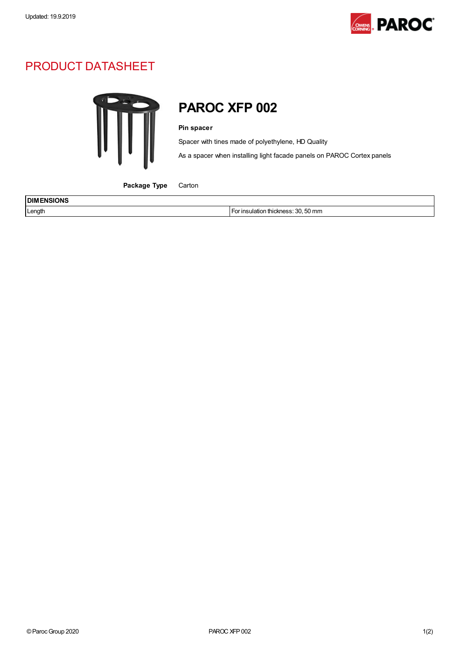

## PRODUCT DATASHEET



## PAROC XFP 002

## Pin spacer

Spacer with tines made of polyethylene, HD Quality

As a spacer when installing light facade panels on PAROC Cortex panels

Package Type Carton

| <b>DIM</b><br>.<br>7N.<br>____ |                                                    |
|--------------------------------|----------------------------------------------------|
| Length                         | 50 mm<br>$.~\circ$<br>⊔lation<br>ı thıckness:<br>w |